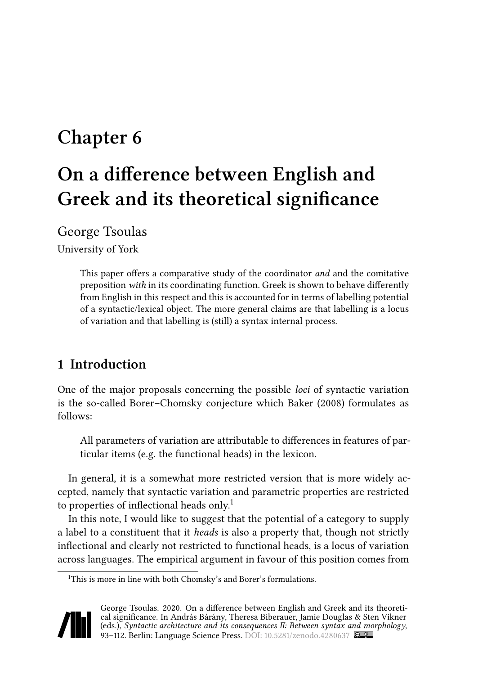# **Chapter 6**

# **On a difference between English and Greek and its theoretical significance**

George Tsoulas

University of York

This paper offers a comparative study of the coordinator *and* and the comitative preposition *with* in its coordinating function. Greek is shown to behave differently from English in this respect and this is accounted for in terms of labelling potential of a syntactic/lexical object. The more general claims are that labelling is a locus of variation and that labelling is (still) a syntax internal process.

### **1 Introduction**

One of the major proposals concerning the possible *loci* of syntactic variation is the so-called Borer–Chomsky conjecture which [Baker \(2008\)](#page-18-0) formulates as follows:

All parameters of variation are attributable to differences in features of particular items (e.g. the functional heads) in the lexicon.

In general, it is a somewhat more restricted version that is more widely accepted, namely that syntactic variation and parametric properties are restricted to properties of inflectional heads only.<sup>1</sup>

In this note, I would like to suggest that the potential of a category to supply a label to a constituent that it *heads* is also a property that, though not strictly inflectional and clearly not restricted to functional heads, is a locus of variation across languages. The empirical argument in favour of this position comes from

<sup>&</sup>lt;sup>1</sup>This is more in line with both Chomsky's and Borer's formulations.



George Tsoulas. 2020. On a difference between English and Greek and its theoretical significance. In András Bárány, Theresa Biberauer, Jamie Douglas & Sten Vikner (eds.), *Syntactic architecture and its consequences II: Between syntax and morphology*, 93–112. Berlin: Language Science Press. DOI: [10.5281/zenodo.4280637](https://doi.org/10.5281/zenodo.4280637)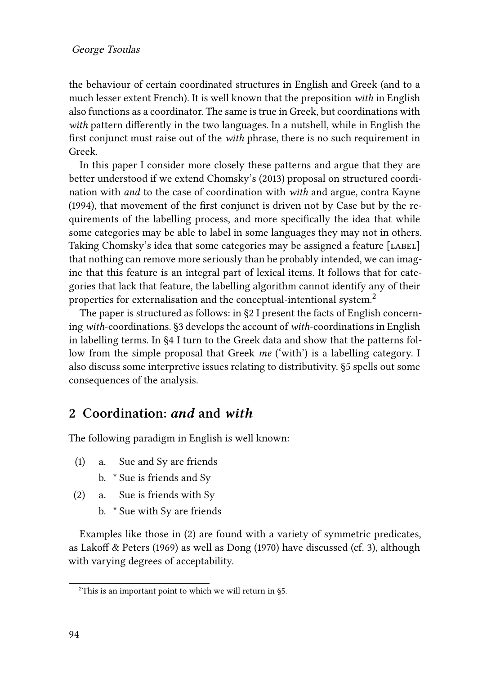#### George Tsoulas

the behaviour of certain coordinated structures in English and Greek (and to a much lesser extent French). It is well known that the preposition *with* in English also functions as a coordinator. The same is true in Greek, but coordinations with *with* pattern differently in the two languages. In a nutshell, while in English the first conjunct must raise out of the *with* phrase, there is no such requirement in Greek.

In this paper I consider more closely these patterns and argue that they are better understood if we extend [Chomsky](#page-18-1)'s (2013) proposal on structured coordination with *and* to the case of coordination with *with* and argue, contra [Kayne](#page-18-2) [\(1994\)](#page-18-2), that movement of the first conjunct is driven not by Case but by the requirements of the labelling process, and more specifically the idea that while some categories may be able to label in some languages they may not in others. Taking Chomsky's idea that some categories may be assigned a feature [LABEL] that nothing can remove more seriously than he probably intended, we can imagine that this feature is an integral part of lexical items. It follows that for categories that lack that feature, the labelling algorithm cannot identify any of their properties for externalisation and the conceptual-intentional system.<sup>2</sup>

The paper is structured as follows: in [§2](#page-1-0) I present the facts of English concerning *with*-coordinations. [§3](#page-4-0) develops the account of *with*-coordinations in English in labelling terms. In [§4](#page-7-0) I turn to the Greek data and show that the patterns follow from the simple proposal that Greek *me* ('with') is a labelling category. I also discuss some interpretive issues relating to distributivity. §[5](#page-15-0) spells out some consequences of the analysis.

#### <span id="page-1-0"></span>**2 Coordination:** *and* **and** *with*

The following paradigm in English is well known:

- <span id="page-1-2"></span>(1) a. Sue and Sy are friends
	- b. \* Sue is friends and Sy
- <span id="page-1-3"></span><span id="page-1-1"></span>(2) a. Sue is friends with Sy
	- b. \* Sue with Sy are friends

Examples like those in([2](#page-1-1)) are found with a variety of symmetric predicates, as [Lakoff & Peters \(1969\)](#page-18-3) as well as [Dong \(1970\)](#page-18-4) have discussed (cf. [3](#page-2-0)), although with varying degrees of acceptability.

 $2$ This is an important point to which we will return in §[5.](#page-15-0)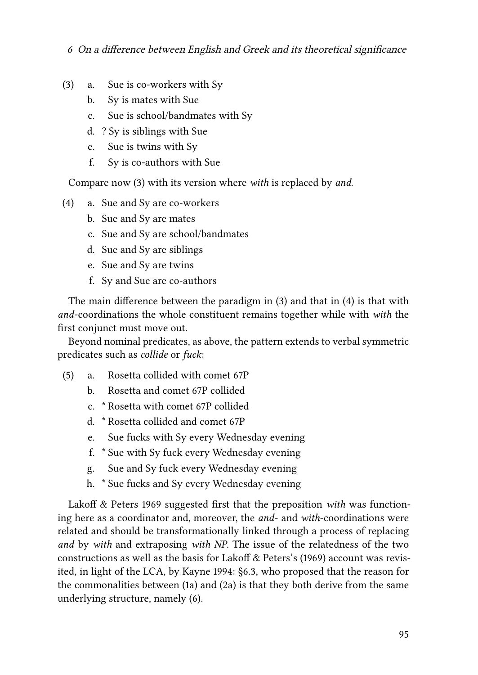- <span id="page-2-0"></span>(3) a. Sue is co-workers with Sy
	- b. Sy is mates with Sue
	- c. Sue is school/bandmates with Sy
	- d. ? Sy is siblings with Sue
	- e. Sue is twins with Sy
	- f. Sy is co-authors with Sue

Compare now([3\)](#page-2-0) with its version where *with* is replaced by *and*.

- <span id="page-2-1"></span>(4) a. Sue and Sy are co-workers
	- b. Sue and Sy are mates
	- c. Sue and Sy are school/bandmates
	- d. Sue and Sy are siblings
	- e. Sue and Sy are twins
	- f. Sy and Sue are co-authors

The main difference between the paradigm in [\(3](#page-2-0)) and that in([4](#page-2-1)) is that with *and*-coordinations the whole constituent remains together while with *with* the first conjunct must move out.

Beyond nominal predicates, as above, the pattern extends to verbal symmetric predicates such as *collide* or *fuck*:

- (5) a. Rosetta collided with comet 67P
	- b. Rosetta and comet 67P collided
	- c. \* Rosetta with comet 67P collided
	- d. \* Rosetta collided and comet 67P
	- e. Sue fucks with Sy every Wednesday evening
	- f. \* Sue with Sy fuck every Wednesday evening
	- g. Sue and Sy fuck every Wednesday evening
	- h. \* Sue fucks and Sy every Wednesday evening

[Lakoff & Peters 1969](#page-18-3) suggested first that the preposition *with* was functioning here as a coordinator and, moreover, the *and*- and *with*-coordinations were related and should be transformationally linked through a process of replacing *and* by *with* and extraposing *with NP*. The issue of the relatedness of the two constructions as well as the basis for [Lakoff & Peters'](#page-18-3)s (1969) account was revisited, in light of the LCA, by [Kayne 1994:](#page-18-2) §6.3, who proposed that the reason for the commonalities between [\(1a\)](#page-1-2) and([2a\)](#page-1-1) is that they both derive from the same underlying structure, namely [\(6](#page-3-0)).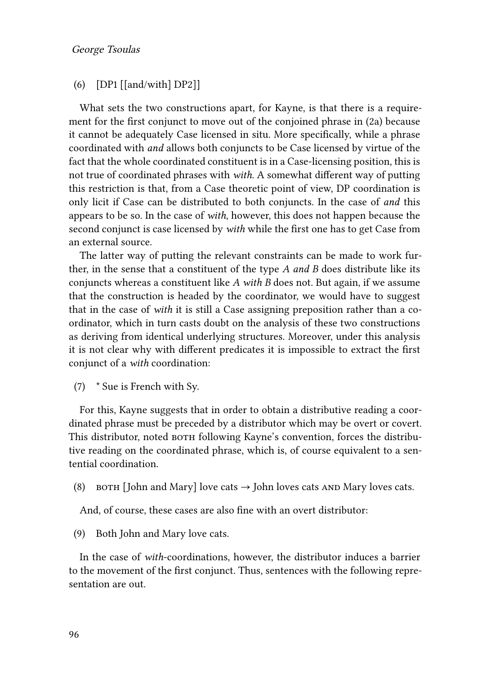#### George Tsoulas

#### <span id="page-3-0"></span>(6) [DP1 [[and/with] DP2]]

What sets the two constructions apart, for Kayne, is that there is a requirement for the first conjunct to move out of the conjoined phrase in [\(2a](#page-1-1)) because it cannot be adequately Case licensed in situ. More specifically, while a phrase coordinated with *and* allows both conjuncts to be Case licensed by virtue of the fact that the whole coordinated constituent is in a Case-licensing position, this is not true of coordinated phrases with *with*. A somewhat different way of putting this restriction is that, from a Case theoretic point of view, DP coordination is only licit if Case can be distributed to both conjuncts. In the case of *and* this appears to be so. In the case of *with*, however, this does not happen because the second conjunct is case licensed by *with* while the first one has to get Case from an external source.

The latter way of putting the relevant constraints can be made to work further, in the sense that a constituent of the type *A and B* does distribute like its conjuncts whereas a constituent like *A with B* does not. But again, if we assume that the construction is headed by the coordinator, we would have to suggest that in the case of *with* it is still a Case assigning preposition rather than a coordinator, which in turn casts doubt on the analysis of these two constructions as deriving from identical underlying structures. Moreover, under this analysis it is not clear why with different predicates it is impossible to extract the first conjunct of a *with* coordination:

<span id="page-3-1"></span>(7) \* Sue is French with Sy.

For this, Kayne suggests that in order to obtain a distributive reading a coordinated phrase must be preceded by a distributor which may be overt or covert. This distributor, noted both following Kayne's convention, forces the distributive reading on the coordinated phrase, which is, of course equivalent to a sentential coordination.

(8) both [John and Mary] love cats  $\rightarrow$  John loves cats and Mary loves cats.

And, of course, these cases are also fine with an overt distributor:

(9) Both John and Mary love cats.

In the case of *with*-coordinations, however, the distributor induces a barrier to the movement of the first conjunct. Thus, sentences with the following representation are out.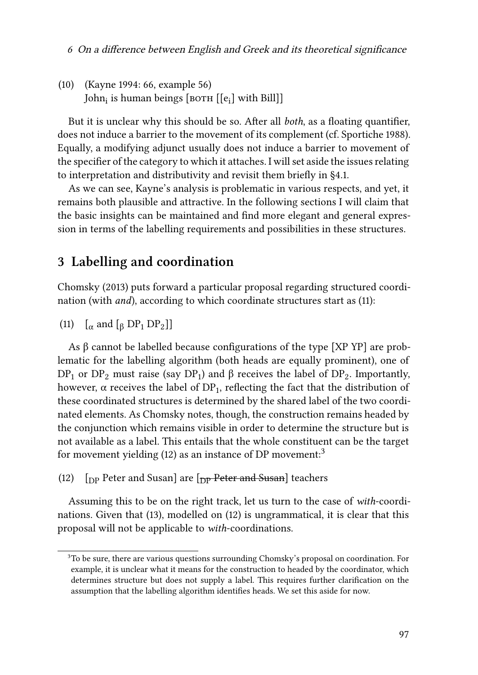<span id="page-4-3"></span>(10) ([Kayne 1994](#page-18-2): 66, example 56) John<sub>i</sub> is human beings [вотн [[e<sub>i</sub>] with Bill]]

But it is unclear why this should be so. After all *both*, as a floating quantifier, does not induce a barrier to the movement of its complement (cf. [Sportiche 1988](#page-18-5)). Equally, a modifying adjunct usually does not induce a barrier to movement of the specifier of the category to which it attaches. I will set aside the issues relating to interpretation and distributivity and revisit them briefly in [§4.1.](#page-11-0)

As we can see, Kayne's analysis is problematic in various respects, and yet, it remains both plausible and attractive. In the following sections I will claim that the basic insights can be maintained and find more elegant and general expression in terms of the labelling requirements and possibilities in these structures.

#### <span id="page-4-0"></span>**3 Labelling and coordination**

[Chomsky \(2013\)](#page-18-1) puts forward a particular proposal regarding structured coordination (with *and*), according to which coordinate structures start as([11\)](#page-4-1):

<span id="page-4-1"></span>(11)  $\left[_{\alpha} \text{ and } \left[_{\beta} \text{ DP}_1 \text{ DP}_2 \right] \right]$ 

As β cannot be labelled because configurations of the type [XP YP] are problematic for the labelling algorithm (both heads are equally prominent), one of DP<sub>1</sub> or DP<sub>2</sub> must raise (say DP<sub>1</sub>) and β receives the label of DP<sub>2</sub>. Importantly, however,  $\alpha$  receives the label of DP<sub>1</sub>, reflecting the fact that the distribution of these coordinated structures is determined by the shared label of the two coordinated elements. As Chomsky notes, though, the construction remains headed by the conjunction which remains visible in order to determine the structure but is not available as a label. This entails that the whole constituent can be the target formovement yielding  $(12)$  $(12)$  as an instance of DP movement:<sup>3</sup>

<span id="page-4-2"></span>(12)  $\left[$ <sub>DP</sub> Peter and Susan] are  $\left[$ <sub>DP</sub> Peter and Susan] teachers

Assuming this to be on the right track, let us turn to the case of *with*-coordinations. Given that([13\)](#page-5-0), modelled on([12\)](#page-4-2) is ungrammatical, it is clear that this proposal will not be applicable to *with*-coordinations.

<sup>3</sup>To be sure, there are various questions surrounding Chomsky's proposal on coordination. For example, it is unclear what it means for the construction to headed by the coordinator, which determines structure but does not supply a label. This requires further clarification on the assumption that the labelling algorithm identifies heads. We set this aside for now.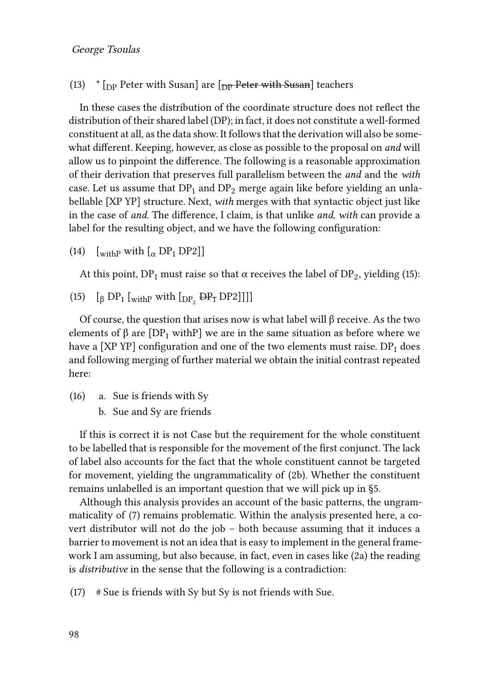<span id="page-5-0"></span>(13)  $*(\text{D}P)$  Peter with Susan] are  $[\text{D}P]$  Peter with Susan] teachers

In these cases the distribution of the coordinate structure does not reflect the distribution of their shared label (DP); in fact, it does not constitute a well-formed constituent at all, as the data show. It follows that the derivation will also be somewhat different. Keeping, however, as close as possible to the proposal on *and* will allow us to pinpoint the difference. The following is a reasonable approximation of their derivation that preserves full parallelism between the *and* and the *with* case. Let us assume that  $DP_1$  and  $DP_2$  merge again like before yielding an unlabellable [XP YP] structure. Next, *with* merges with that syntactic object just like in the case of *and*. The difference, I claim, is that unlike *and*, *with* can provide a label for the resulting object, and we have the following configuration:

(14)  $\lceil \text{with} \lfloor \alpha \text{ DP}_1 \text{ DP}_2 \rfloor \rceil$ 

At this point,  $DP_1$  must raise so that  $\alpha$  receives the label of  $DP_2$ , yielding [\(15\)](#page-5-1):

<span id="page-5-1"></span>(15)  $\left[\beta \text{ DP}_1 \left[\text{withp with } \left[\text{DP}_2 \text{ DP}_1 \text{ DP}_2\right]\right]\right]$ 

Of course, the question that arises now is what label will β receive. As the two elements of β are [DP<sub>1</sub> withP] we are in the same situation as before where we have a [XP YP] configuration and one of the two elements must raise.  $DP_1$  does and following merging of further material we obtain the initial contrast repeated here:

- (16) a. Sue is friends with Sy
	- b. Sue and Sy are friends

If this is correct it is not Case but the requirement for the whole constituent to be labelled that is responsible for the movement of the first conjunct. The lack of label also accounts for the fact that the whole constituent cannot be targeted for movement, yielding the ungrammaticality of [\(2b\)](#page-1-3). Whether the constituent remains unlabelled is an important question that we will pick up in§[5.](#page-15-0)

Although this analysis provides an account of the basic patterns, the ungrammaticality of [\(7](#page-3-1)) remains problematic. Within the analysis presented here, a covert distributor will not do the job – both because assuming that it induces a barrier to movement is not an idea that is easy to implement in the general framework I am assuming, but also because, in fact, even in cases like [\(2a](#page-1-1)) the reading is *distributive* in the sense that the following is a contradiction:

(17) # Sue is friends with Sy but Sy is not friends with Sue.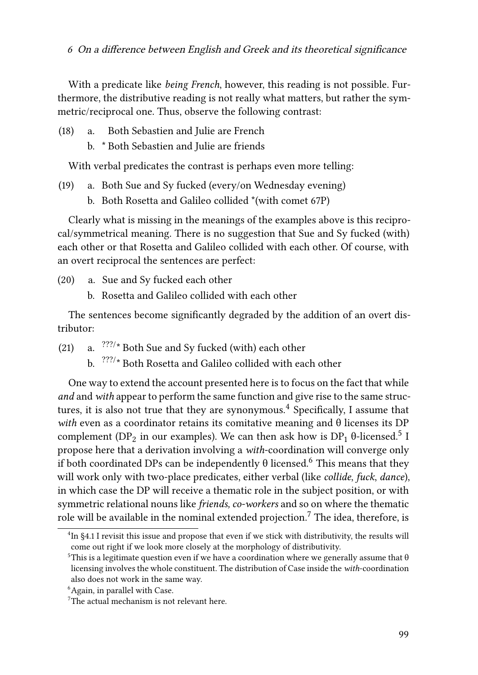With a predicate like *being French*, however, this reading is not possible. Furthermore, the distributive reading is not really what matters, but rather the symmetric/reciprocal one. Thus, observe the following contrast:

- (18) a. Both Sebastien and Julie are French
	- b. \* Both Sebastien and Julie are friends

With verbal predicates the contrast is perhaps even more telling:

- (19) a. Both Sue and Sy fucked (every/on Wednesday evening)
	- b. Both Rosetta and Galileo collided \*(with comet 67P)

Clearly what is missing in the meanings of the examples above is this reciprocal/symmetrical meaning. There is no suggestion that Sue and Sy fucked (with) each other or that Rosetta and Galileo collided with each other. Of course, with an overt reciprocal the sentences are perfect:

- (20) a. Sue and Sy fucked each other
	- b. Rosetta and Galileo collided with each other

The sentences become significantly degraded by the addition of an overt distributor:

- (21) a.  $\frac{???}{*}$  Both Sue and Sy fucked (with) each other
	- b.  $^{777/*}$  Both Rosetta and Galileo collided with each other

One way to extend the account presented here is to focus on the fact that while *and* and *with* appear to perform the same function and give rise to the same structures, it is also not true that they are synonymous. $^4$  Specifically, I assume that *with* even as a coordinator retains its comitative meaning and θ licenses its DP complement (DP<sub>2</sub> in our examples). We can then ask how is DP<sub>1</sub> θ-licensed.<sup>5</sup> I propose here that a derivation involving a *with*-coordination will converge only if both coordinated DPs can be independently θ licensed.<sup>6</sup> This means that they will work only with two-place predicates, either verbal (like *collide*, *fuck*, *dance*), in which case the DP will receive a thematic role in the subject position, or with symmetric relational nouns like *friends, co-workers* and so on where the thematic role will be available in the nominal extended projection.<sup>7</sup> The idea, therefore, is

<sup>&</sup>lt;sup>4</sup>In §[4.1](#page-11-0) I revisit this issue and propose that even if we stick with distributivity, the results will come out right if we look more closely at the morphology of distributivity.

<sup>&</sup>lt;sup>5</sup>This is a legitimate question even if we have a coordination where we generally assume that  $\theta$ licensing involves the whole constituent. The distribution of Case inside the *with*-coordination also does not work in the same way.

<sup>&</sup>lt;sup>6</sup> Again, in parallel with Case.

<sup>&</sup>lt;sup>7</sup>The actual mechanism is not relevant here.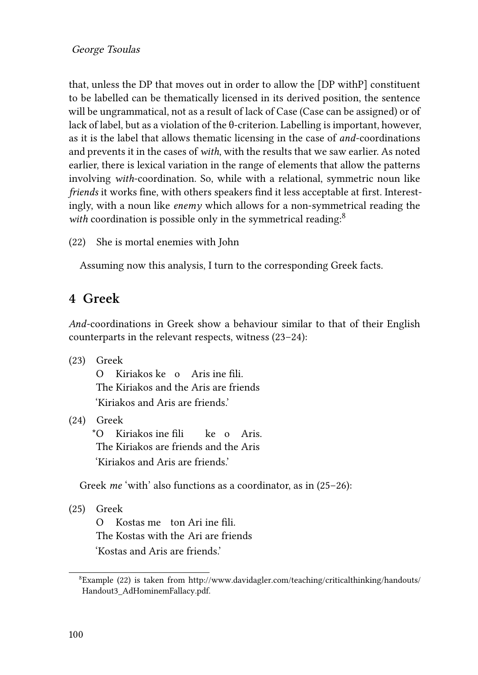that, unless the DP that moves out in order to allow the [DP withP] constituent to be labelled can be thematically licensed in its derived position, the sentence will be ungrammatical, not as a result of lack of Case (Case can be assigned) or of lack of label, but as a violation of the θ-criterion. Labelling is important, however, as it is the label that allows thematic licensing in the case of *and*-coordinations and prevents it in the cases of *with*, with the results that we saw earlier. As noted earlier, there is lexical variation in the range of elements that allow the patterns involving *with*-coordination. So, while with a relational, symmetric noun like *friends* it works fine, with others speakers find it less acceptable at first. Interestingly, with a noun like *enemy* which allows for a non-symmetrical reading the with coordination is possible only in the symmetrical reading:<sup>8</sup>

<span id="page-7-4"></span>(22) She is mortal enemies with John

Assuming now this analysis, I turn to the corresponding Greek facts.

### <span id="page-7-0"></span>**4 Greek**

*And*-coordinations in Greek show a behaviour similar to that of their English counterparts in the relevant respects, witness [\(23–](#page-7-1)[24](#page-7-2)):

<span id="page-7-1"></span>(23) Greek

O Kiriakos ke o Aris ine fili. The Kiriakos and the Aris are friends 'Kiriakos and Aris are friends.'

<span id="page-7-2"></span>(24) Greek

\*O The Kiriakos are friends and the Aris Kiriakos ine fili ke o Aris. 'Kiriakos and Aris are friends.'

Greek *me* 'with' also functions as a coordinator, as in([25–](#page-7-3)[26](#page-8-0)):

<span id="page-7-3"></span>(25) Greek

 $\Omega$ The Kostas with the Ari are friends Kostas me ton Ari ine fili. 'Kostas and Aris are friends.'

<sup>8</sup>Example([22](#page-7-4)) is taken from [http://www.davidagler.com/teaching/criticalthinking/handouts/](http://www.davidagler.com/teaching/criticalthinking/handouts/Handout3_AdHominemFallacy.pdf) [Handout3\\_AdHominemFallacy.pdf.](http://www.davidagler.com/teaching/criticalthinking/handouts/Handout3_AdHominemFallacy.pdf)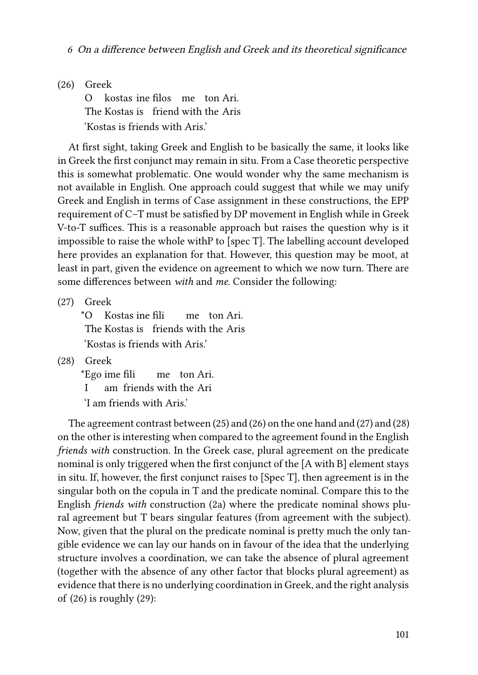<span id="page-8-0"></span>(26) Greek  $\Omega$ The Kostas is friend with the Aris kostas ine filos me ton Ari. 'Kostas is friends with Aris.'

At first sight, taking Greek and English to be basically the same, it looks like in Greek the first conjunct may remain in situ. From a Case theoretic perspective this is somewhat problematic. One would wonder why the same mechanism is not available in English. One approach could suggest that while we may unify Greek and English in terms of Case assignment in these constructions, the EPP requirement of C–T must be satisfied by DP movement in English while in Greek V-to-T suffices. This is a reasonable approach but raises the question why is it impossible to raise the whole withP to [spec T]. The labelling account developed here provides an explanation for that. However, this question may be moot, at least in part, given the evidence on agreement to which we now turn. There are some differences between *with* and *me*. Consider the following:

<span id="page-8-1"></span>(27) Greek

\*O The Kostas is friends with the Aris Kostas ine fili me ton Ari. 'Kostas is friends with Aris.'

<span id="page-8-2"></span>(28) Greek

\*Ego ime fili I am friends with the Ari me ton Ari. 'I am friends with Aris.'

The agreement contrast between([25\)](#page-7-3) and([26\)](#page-8-0) on the one hand and([27\)](#page-8-1) and([28\)](#page-8-2) on the other is interesting when compared to the agreement found in the English *friends with* construction. In the Greek case, plural agreement on the predicate nominal is only triggered when the first conjunct of the [A with B] element stays in situ. If, however, the first conjunct raises to [Spec T], then agreement is in the singular both on the copula in T and the predicate nominal. Compare this to the English *friends with* construction [\(2a](#page-1-1)) where the predicate nominal shows plural agreement but T bears singular features (from agreement with the subject). Now, given that the plural on the predicate nominal is pretty much the only tangible evidence we can lay our hands on in favour of the idea that the underlying structure involves a coordination, we can take the absence of plural agreement (together with the absence of any other factor that blocks plural agreement) as evidence that there is no underlying coordination in Greek, and the right analysis of([26](#page-8-0)) is roughly [\(29\)](#page-9-0):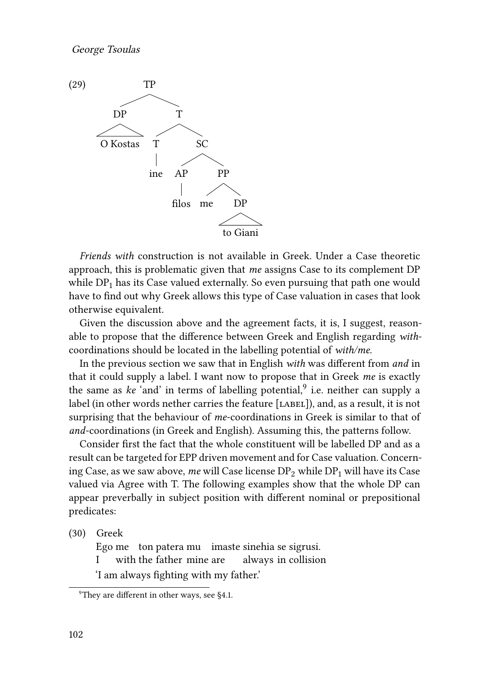<span id="page-9-0"></span>

*Friends with* construction is not available in Greek. Under a Case theoretic approach, this is problematic given that *me* assigns Case to its complement DP while  $DP_1$  has its Case valued externally. So even pursuing that path one would have to find out why Greek allows this type of Case valuation in cases that look otherwise equivalent.

Given the discussion above and the agreement facts, it is, I suggest, reasonable to propose that the difference between Greek and English regarding *with*coordinations should be located in the labelling potential of *with/me*.

In the previous section we saw that in English *with* was different from *and* in that it could supply a label. I want now to propose that in Greek *me* is exactly the same as *ke* 'and' in terms of labelling potential, <sup>9</sup> i.e. neither can supply a label (in other words nether carries the feature [label]), and, as a result, it is not surprising that the behaviour of *me*-coordinations in Greek is similar to that of *and*-coordinations (in Greek and English). Assuming this, the patterns follow.

Consider first the fact that the whole constituent will be labelled DP and as a result can be targeted for EPP driven movement and for Case valuation. Concerning Case, as we saw above, *me* will Case license DP<sub>2</sub> while DP<sub>1</sub> will have its Case valued via Agree with T. The following examples show that the whole DP can appear preverbally in subject position with different nominal or prepositional predicates:

(30) Greek

Ego me ton patera mu imaste sinehia se sigrusi.

I with the father mine are always in collision

'I am always fighting with my father.'

<sup>9</sup>They are different in other ways, see [§4.1.](#page-11-0)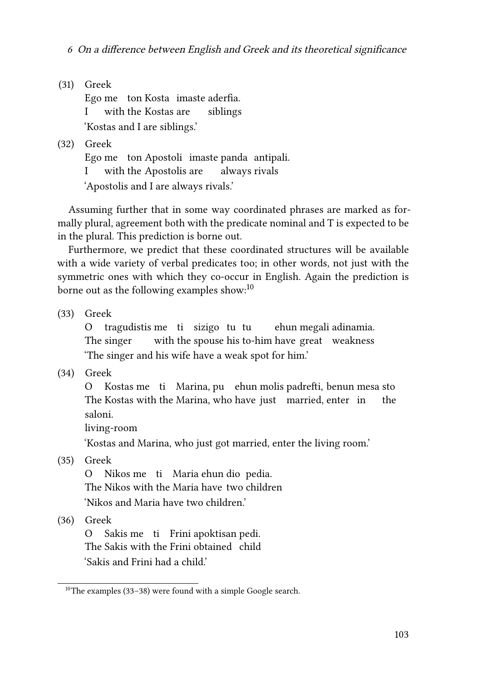(31) Greek

Ego me ton Kosta imaste aderfia. I with the Kostas are siblings 'Kostas and I are siblings.'

(32) Greek

Ego me ton Apostoli imaste panda antipali.

I with the Apostolis are always rivals

'Apostolis and I are always rivals.'

Assuming further that in some way coordinated phrases are marked as formally plural, agreement both with the predicate nominal and T is expected to be in the plural. This prediction is borne out.

Furthermore, we predict that these coordinated structures will be available with a wide variety of verbal predicates too; in other words, not just with the symmetric ones with which they co-occur in English. Again the prediction is borne out as the following examples show:<sup>10</sup>

<span id="page-10-0"></span>(33) Greek

 $\Omega$ The singer tragudistis me ti sizigo tu tu with the spouse his to-him have great weakness ehun megali adinamia. 'The singer and his wife have a weak spot for him.'

<span id="page-10-1"></span>(34) Greek

O Kostas me ti Marina, pu ehun molis padrefti, benun mesa sto The Kostas with the Marina, who have just married, enter in the saloni.

living-room

'Kostas and Marina, who just got married, enter the living room.'

<span id="page-10-2"></span>(35) Greek

 $\Omega$ The Nikos with the Maria have two children Nikos me ti Maria ehun dio pedia. 'Nikos and Maria have two children.'

(36) Greek

 $\Omega$ The Sakis with the Frini obtained child Sakis me ti Frini apoktisan pedi. 'Sakis and Frini had a child.'

 $10$ <sup>10</sup>Theexamples ([33](#page-10-0)-38) were found with a simple Google search.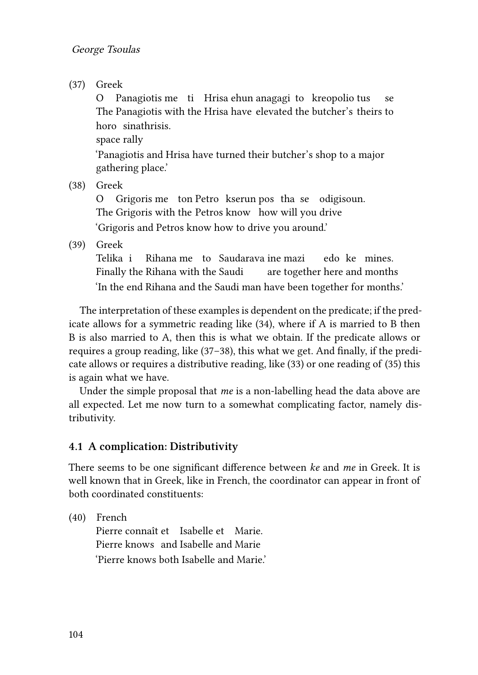<span id="page-11-2"></span>(37) Greek

 $\Omega$ The Panagiotis with the Hrisa have elevated the butcher's theirs to Panagiotis me ti Hrisa ehun anagagi to kreopolio tus se horo sinathrisis.

space rally

'Panagiotis and Hrisa have turned their butcher's shop to a major gathering place.'

<span id="page-11-1"></span>(38) Greek

 $\Omega$ The Grigoris with the Petros know how will you drive Grigoris me ton Petro kserun pos tha se odigisoun. 'Grigoris and Petros know how to drive you around.'

(39) Greek

Telika i Finally the Rihana with the Saudi Rihana me to Saudarava ine mazi are together here and months edo ke mines. 'In the end Rihana and the Saudi man have been together for months.'

The interpretation of these examples is dependent on the predicate; if the predicate allows for a symmetric reading like [\(34](#page-10-1)), where if A is married to B then B is also married to A, then this is what we obtain. If the predicate allows or requires a group reading, like([37–](#page-11-2)[38\)](#page-11-1), this what we get. And finally, if the predicate allows or requires a distributive reading, like [\(33](#page-10-0)) or one reading of([35\)](#page-10-2) this is again what we have.

Under the simple proposal that *me* is a non-labelling head the data above are all expected. Let me now turn to a somewhat complicating factor, namely distributivity.

#### <span id="page-11-0"></span>**4.1 A complication: Distributivity**

There seems to be one significant difference between *ke* and *me* in Greek. It is well known that in Greek, like in French, the coordinator can appear in front of both coordinated constituents:

(40) French

Pierre connaît et Isabelle et Marie. Pierre knows and Isabelle and Marie 'Pierre knows both Isabelle and Marie.'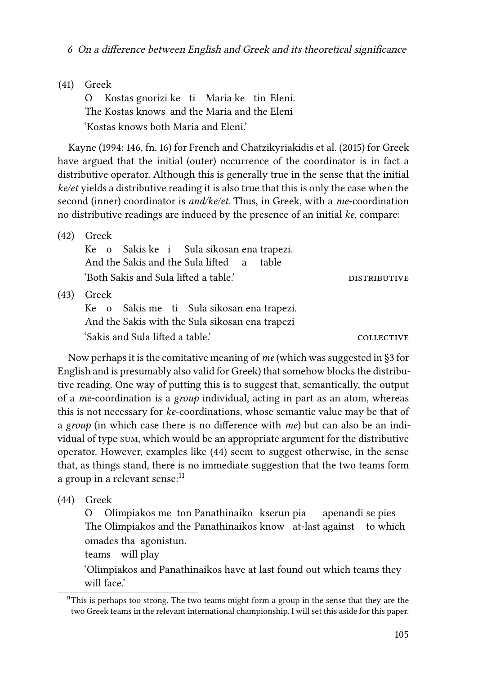#### (41) Greek

 $\Omega$ The Kostas knows and the Maria and the Eleni Kostas gnorizi ke ti Maria ke tin Eleni. 'Kostas knows both Maria and Eleni.'

[Kayne \(1994](#page-18-2): 146, fn. 16) for French and [Chatzikyriakidis et al. \(2015\)](#page-18-6) for Greek have argued that the initial (outer) occurrence of the coordinator is in fact a distributive operator. Although this is generally true in the sense that the initial *ke/et* yields a distributive reading it is also true that this is only the case when the second (inner) coordinator is *and/ke/et*. Thus, in Greek, with a *me*-coordination no distributive readings are induced by the presence of an initial *ke*, compare:

| (42  | Greek                                                      |  |  |  |
|------|------------------------------------------------------------|--|--|--|
|      | Ke o Sakis ke i Sula sikosan ena trapezi.                  |  |  |  |
|      | And the Sakis and the Sula lifted a table                  |  |  |  |
|      | 'Both Sakis and Sula lifted a table.'<br><b>DISTRIBUTI</b> |  |  |  |
| (43) | Greek                                                      |  |  |  |
|      | Ke o Sakis me ti Sula sikosan ena trapezi.                 |  |  |  |
|      | And the Sakis with the Sula sikosan ena trapezi            |  |  |  |
|      | 'Sakis and Sula lifted a table.'                           |  |  |  |

Now perhaps it is the comitative meaning of *me* (which was suggested in §[3](#page-4-0) for English and is presumably also valid for Greek) that somehow blocks the distributive reading. One way of putting this is to suggest that, semantically, the output of a *me*-coordination is a *group* individual, acting in part as an atom, whereas this is not necessary for *ke*-coordinations, whose semantic value may be that of a *group* (in which case there is no difference with *me*) but can also be an individual of type sum, which would be an appropriate argument for the distributive operator. However, examples like [\(44\)](#page-12-0) seem to suggest otherwise, in the sense that, as things stand, there is no immediate suggestion that the two teams form a group in a relevant sense:<sup>11</sup>

<span id="page-12-0"></span>(44) Greek

O The Olimpiakos and the Panathinaikos know at-last against Olimpiakos me ton Panathinaiko kserun pia apenandi se pies to which omades tha agonistun.

teams will play

'Olimpiakos and Panathinaikos have at last found out which teams they will face.'

 $11$ This is perhaps too strong. The two teams might form a group in the sense that they are the two Greek teams in the relevant international championship. I will set this aside for this paper.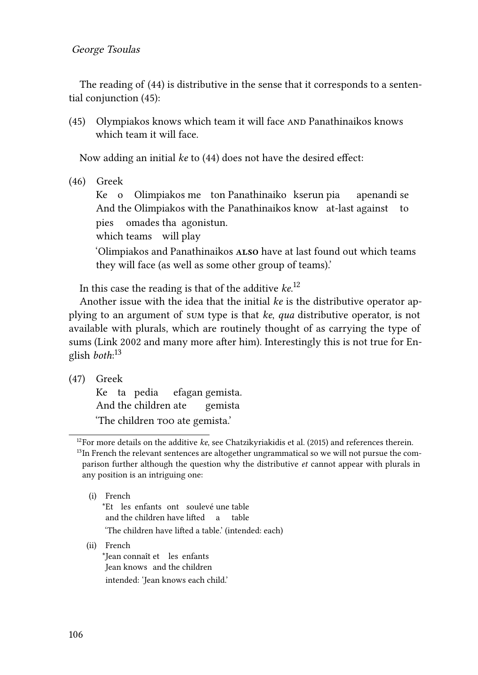The reading of [\(44\)](#page-12-0) is distributive in the sense that it corresponds to a sentential conjunction([45\)](#page-13-0):

<span id="page-13-0"></span>(45) Olympiakos knows which team it will face AND Panathinaikos knows which team it will face.

Now adding an initial *ke* to [\(44\)](#page-12-0) does not have the desired effect:

(46) Greek

Ke o Olimpiakos me ton Panathinaiko kserun pia And the Olimpiakos with the Panathinaikos know at-last against to apenandi se pies omades tha agonistun.

which teams will play

'Olimpiakos and Panathinaikos **also** have at last found out which teams they will face (as well as some other group of teams).'

In this case the reading is that of the additive *ke*. 12

Another issue with the idea that the initial *ke* is the distributive operator applying to an argument of sum type is that *ke*, *qua* distributive operator, is not available with plurals, which are routinely thought of as carrying the type of sums [\(Link 2002](#page-18-7) and many more after him). Interestingly this is not true for English *both*: 13

<span id="page-13-1"></span>(47) Greek

Ke ta pedia And the children ate efagan gemista. gemista 'The children too ate gemista.'

(i) French \*Et les enfants ont soulevé une table and the children have lifted a table 'The children have lifted a table.' (intended: each) (ii) French

\*Jean connaît et les enfants Jean knows and the children intended: 'Jean knows each child.'

<sup>12</sup>For more details on the additive *ke*, see [Chatzikyriakidis et al. \(2015\)](#page-18-6) and references therein.

<sup>&</sup>lt;sup>13</sup>In French the relevant sentences are altogether ungrammatical so we will not pursue the comparison further although the question why the distributive *et* cannot appear with plurals in any position is an intriguing one: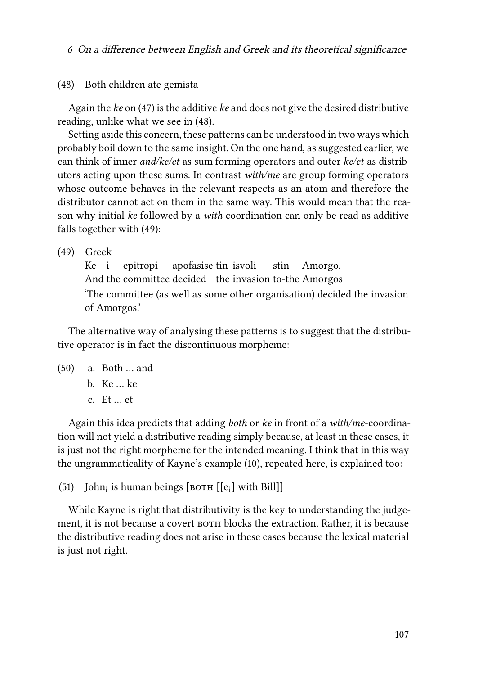<span id="page-14-0"></span>(48) Both children ate gemista

Again the *ke* on([47\)](#page-13-1) is the additive *ke* and does not give the desired distributive reading, unlike what we see in [\(48\)](#page-14-0).

Setting aside this concern, these patterns can be understood in two ways which probably boil down to the same insight. On the one hand, as suggested earlier, we can think of inner *and/ke/et* as sum forming operators and outer *ke/et* as distributors acting upon these sums. In contrast *with/me* are group forming operators whose outcome behaves in the relevant respects as an atom and therefore the distributor cannot act on them in the same way. This would mean that the reason why initial *ke* followed by a *with* coordination can only be read as additive falls together with([49](#page-14-1)):

<span id="page-14-1"></span>(49) Greek

Ke i And the committee decided the invasion to-the Amorgos epitropi apofasise tin isvoli stin Amorgo. 'The committee (as well as some other organisation) decided the invasion of Amorgos.'

The alternative way of analysing these patterns is to suggest that the distributive operator is in fact the discontinuous morpheme:

- (50) a. Both … and
	- b. Ke … ke
	- c. Et … et

Again this idea predicts that adding *both* or *ke* in front of a *with/me*-coordination will not yield a distributive reading simply because, at least in these cases, it is just not the right morpheme for the intended meaning. I think that in this way the ungrammaticality of Kayne's example([10](#page-4-3)), repeated here, is explained too:

(51) John $_{\rm i}$  is human beings [BOTH [[ $\rm e_{i}$ ] with Bill]]

While Kayne is right that distributivity is the key to understanding the judgement, it is not because a covert born blocks the extraction. Rather, it is because the distributive reading does not arise in these cases because the lexical material is just not right.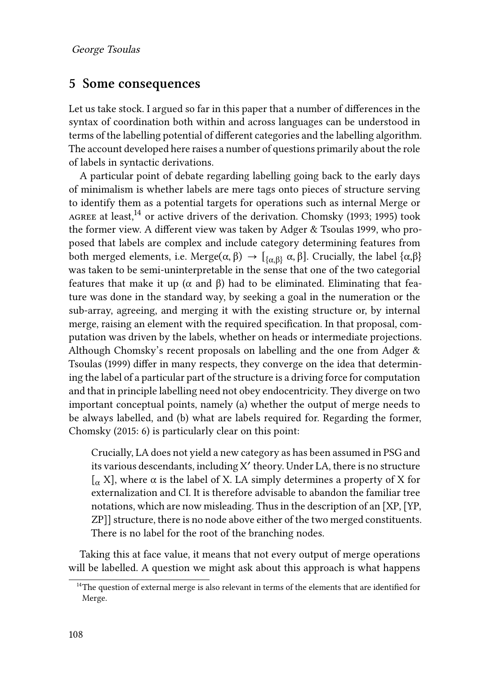#### <span id="page-15-0"></span>**5 Some consequences**

Let us take stock. I argued so far in this paper that a number of differences in the syntax of coordination both within and across languages can be understood in terms of the labelling potential of different categories and the labelling algorithm. The account developed here raises a number of questions primarily about the role of labels in syntactic derivations.

A particular point of debate regarding labelling going back to the early days of minimalism is whether labels are mere tags onto pieces of structure serving to identify them as a potential targets for operations such as internal Merge or AGREE at least,<sup>14</sup> or active drivers of the derivation. [Chomsky \(1993](#page-18-8); [1995](#page-18-9)) took the former view. A different view was taken by [Adger & Tsoulas 1999](#page-18-10), who proposed that labels are complex and include category determining features from both merged elements, i.e. Merge $(\alpha, \beta) \rightarrow [\alpha, \beta]$   $\alpha, \beta]$ . Crucially, the label  $\{\alpha, \beta\}$ was taken to be semi-uninterpretable in the sense that one of the two categorial features that make it up (α and β) had to be eliminated. Eliminating that feature was done in the standard way, by seeking a goal in the numeration or the sub-array, agreeing, and merging it with the existing structure or, by internal merge, raising an element with the required specification. In that proposal, computation was driven by the labels, whether on heads or intermediate projections. Although Chomsky's recent proposals on labelling and the one from [Adger &](#page-18-10) [Tsoulas \(1999\)](#page-18-10) differ in many respects, they converge on the idea that determining the label of a particular part of the structure is a driving force for computation and that in principle labelling need not obey endocentricity. They diverge on two important conceptual points, namely (a) whether the output of merge needs to be always labelled, and (b) what are labels required for. Regarding the former, [Chomsky \(2015](#page-18-11): 6) is particularly clear on this point:

Crucially, LA does not yield a new category as has been assumed in PSG and its various descendants, including X′ theory. Under LA, there is no structure  $\left[\alpha X\right]$ , where  $\alpha$  is the label of X. LA simply determines a property of X for externalization and CI. It is therefore advisable to abandon the familiar tree notations, which are now misleading. Thus in the description of an [XP, [YP, ZP]] structure, there is no node above either of the two merged constituents. There is no label for the root of the branching nodes.

Taking this at face value, it means that not every output of merge operations will be labelled. A question we might ask about this approach is what happens

<sup>&</sup>lt;sup>14</sup>The question of external merge is also relevant in terms of the elements that are identified for Merge.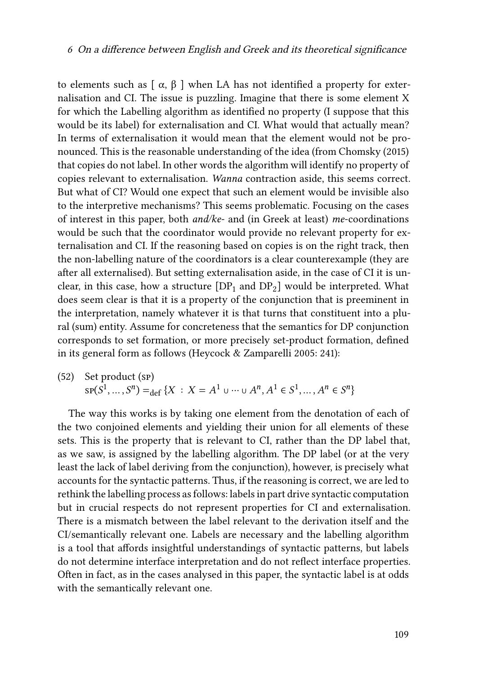to elements such as  $[α, β]$  when LA has not identified a property for externalisation and CI. The issue is puzzling. Imagine that there is some element X for which the Labelling algorithm as identified no property (I suppose that this would be its label) for externalisation and CI. What would that actually mean? In terms of externalisation it would mean that the element would not be pronounced. This is the reasonable understanding of the idea (from [Chomsky \(2015\)](#page-18-11) that copies do not label. In other words the algorithm will identify no property of copies relevant to externalisation. *Wanna* contraction aside, this seems correct. But what of CI? Would one expect that such an element would be invisible also to the interpretive mechanisms? This seems problematic. Focusing on the cases of interest in this paper, both *and/ke*- and (in Greek at least) *me*-coordinations would be such that the coordinator would provide no relevant property for externalisation and CI. If the reasoning based on copies is on the right track, then the non-labelling nature of the coordinators is a clear counterexample (they are after all externalised). But setting externalisation aside, in the case of CI it is unclear, in this case, how a structure  $[DP<sub>1</sub>$  and  $DP<sub>2</sub>]$  would be interpreted. What does seem clear is that it is a property of the conjunction that is preeminent in the interpretation, namely whatever it is that turns that constituent into a plural (sum) entity. Assume for concreteness that the semantics for DP conjunction corresponds to set formation, or more precisely set-product formation, defined in its general form as follows([Heycock & Zamparelli 2005:](#page-18-12) 241):

(52) Set product (sp)  
\n
$$
sp(S^1, ..., S^n) =_{def} \{X : X = A^1 \cup ... \cup A^n, A^1 \in S^1, ..., A^n \in S^n\}
$$

The way this works is by taking one element from the denotation of each of the two conjoined elements and yielding their union for all elements of these sets. This is the property that is relevant to CI, rather than the DP label that, as we saw, is assigned by the labelling algorithm. The DP label (or at the very least the lack of label deriving from the conjunction), however, is precisely what accounts for the syntactic patterns. Thus, if the reasoning is correct, we are led to rethink the labelling process as follows: labels in part drive syntactic computation but in crucial respects do not represent properties for CI and externalisation. There is a mismatch between the label relevant to the derivation itself and the CI/semantically relevant one. Labels are necessary and the labelling algorithm is a tool that affords insightful understandings of syntactic patterns, but labels do not determine interface interpretation and do not reflect interface properties. Often in fact, as in the cases analysed in this paper, the syntactic label is at odds with the semantically relevant one.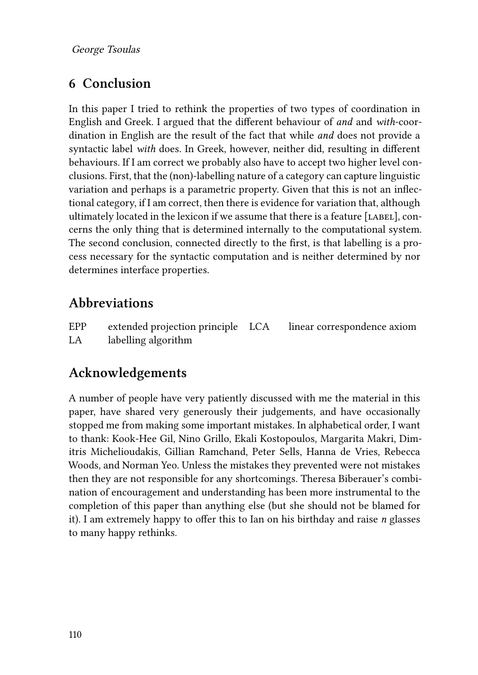# **6 Conclusion**

In this paper I tried to rethink the properties of two types of coordination in English and Greek. I argued that the different behaviour of *and* and *with*-coordination in English are the result of the fact that while *and* does not provide a syntactic label *with* does. In Greek, however, neither did, resulting in different behaviours. If I am correct we probably also have to accept two higher level conclusions. First, that the (non)-labelling nature of a category can capture linguistic variation and perhaps is a parametric property. Given that this is not an inflectional category, if I am correct, then there is evidence for variation that, although ultimately located in the lexicon if we assume that there is a feature  $[LABEL]$ , concerns the only thing that is determined internally to the computational system. The second conclusion, connected directly to the first, is that labelling is a process necessary for the syntactic computation and is neither determined by nor determines interface properties.

## **Abbreviations**

| EPP | extended projection principle LCA | linear correspondence axiom |
|-----|-----------------------------------|-----------------------------|
| LA  | labelling algorithm               |                             |

## **Acknowledgements**

A number of people have very patiently discussed with me the material in this paper, have shared very generously their judgements, and have occasionally stopped me from making some important mistakes. In alphabetical order, I want to thank: Kook-Hee Gil, Nino Grillo, Ekali Kostopoulos, Margarita Makri, Dimitris Michelioudakis, Gillian Ramchand, Peter Sells, Hanna de Vries, Rebecca Woods, and Norman Yeo. Unless the mistakes they prevented were not mistakes then they are not responsible for any shortcomings. Theresa Biberauer's combination of encouragement and understanding has been more instrumental to the completion of this paper than anything else (but she should not be blamed for it). I am extremely happy to offer this to Ian on his birthday and raise *n* glasses to many happy rethinks.